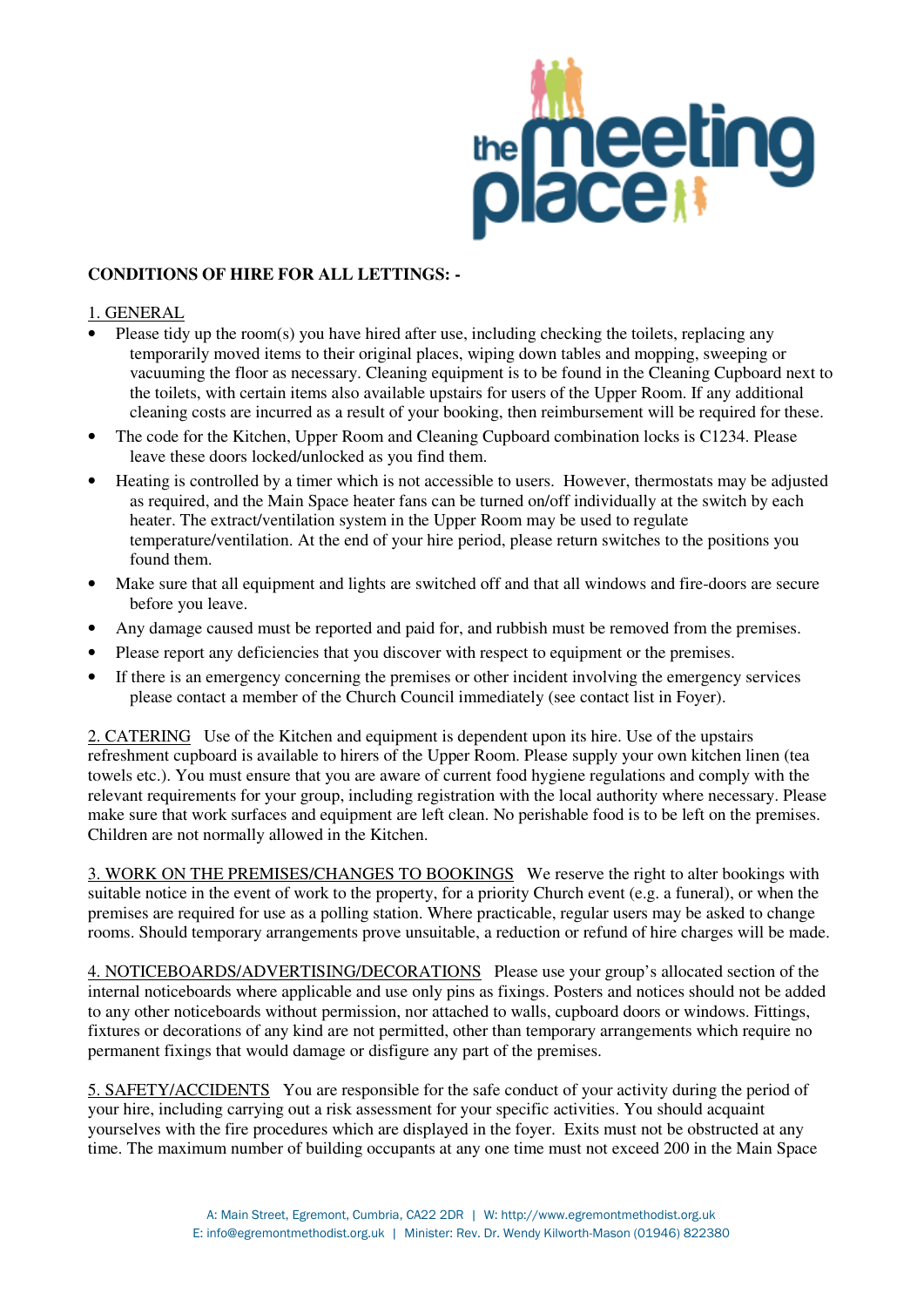

## **CONDITIONS OF HIRE FOR ALL LETTINGS: -**

## 1. GENERAL

- Please tidy up the room(s) you have hired after use, including checking the toilets, replacing any temporarily moved items to their original places, wiping down tables and mopping, sweeping or vacuuming the floor as necessary. Cleaning equipment is to be found in the Cleaning Cupboard next to the toilets, with certain items also available upstairs for users of the Upper Room. If any additional cleaning costs are incurred as a result of your booking, then reimbursement will be required for these.
- The code for the Kitchen, Upper Room and Cleaning Cupboard combination locks is C1234. Please leave these doors locked/unlocked as you find them.
- Heating is controlled by a timer which is not accessible to users. However, thermostats may be adjusted as required, and the Main Space heater fans can be turned on/off individually at the switch by each heater. The extract/ventilation system in the Upper Room may be used to regulate temperature/ventilation. At the end of your hire period, please return switches to the positions you found them.
- Make sure that all equipment and lights are switched off and that all windows and fire-doors are secure before you leave.
- Any damage caused must be reported and paid for, and rubbish must be removed from the premises.
- Please report any deficiencies that you discover with respect to equipment or the premises.
- If there is an emergency concerning the premises or other incident involving the emergency services please contact a member of the Church Council immediately (see contact list in Foyer).

2. CATERING Use of the Kitchen and equipment is dependent upon its hire. Use of the upstairs refreshment cupboard is available to hirers of the Upper Room. Please supply your own kitchen linen (tea towels etc.). You must ensure that you are aware of current food hygiene regulations and comply with the relevant requirements for your group, including registration with the local authority where necessary. Please make sure that work surfaces and equipment are left clean. No perishable food is to be left on the premises. Children are not normally allowed in the Kitchen.

3. WORK ON THE PREMISES/CHANGES TO BOOKINGS We reserve the right to alter bookings with suitable notice in the event of work to the property, for a priority Church event (e.g. a funeral), or when the premises are required for use as a polling station. Where practicable, regular users may be asked to change rooms. Should temporary arrangements prove unsuitable, a reduction or refund of hire charges will be made.

4. NOTICEBOARDS/ADVERTISING/DECORATIONS Please use your group's allocated section of the internal noticeboards where applicable and use only pins as fixings. Posters and notices should not be added to any other noticeboards without permission, nor attached to walls, cupboard doors or windows. Fittings, fixtures or decorations of any kind are not permitted, other than temporary arrangements which require no permanent fixings that would damage or disfigure any part of the premises.

5. SAFETY/ACCIDENTS You are responsible for the safe conduct of your activity during the period of your hire, including carrying out a risk assessment for your specific activities. You should acquaint yourselves with the fire procedures which are displayed in the foyer. Exits must not be obstructed at any time. The maximum number of building occupants at any one time must not exceed 200 in the Main Space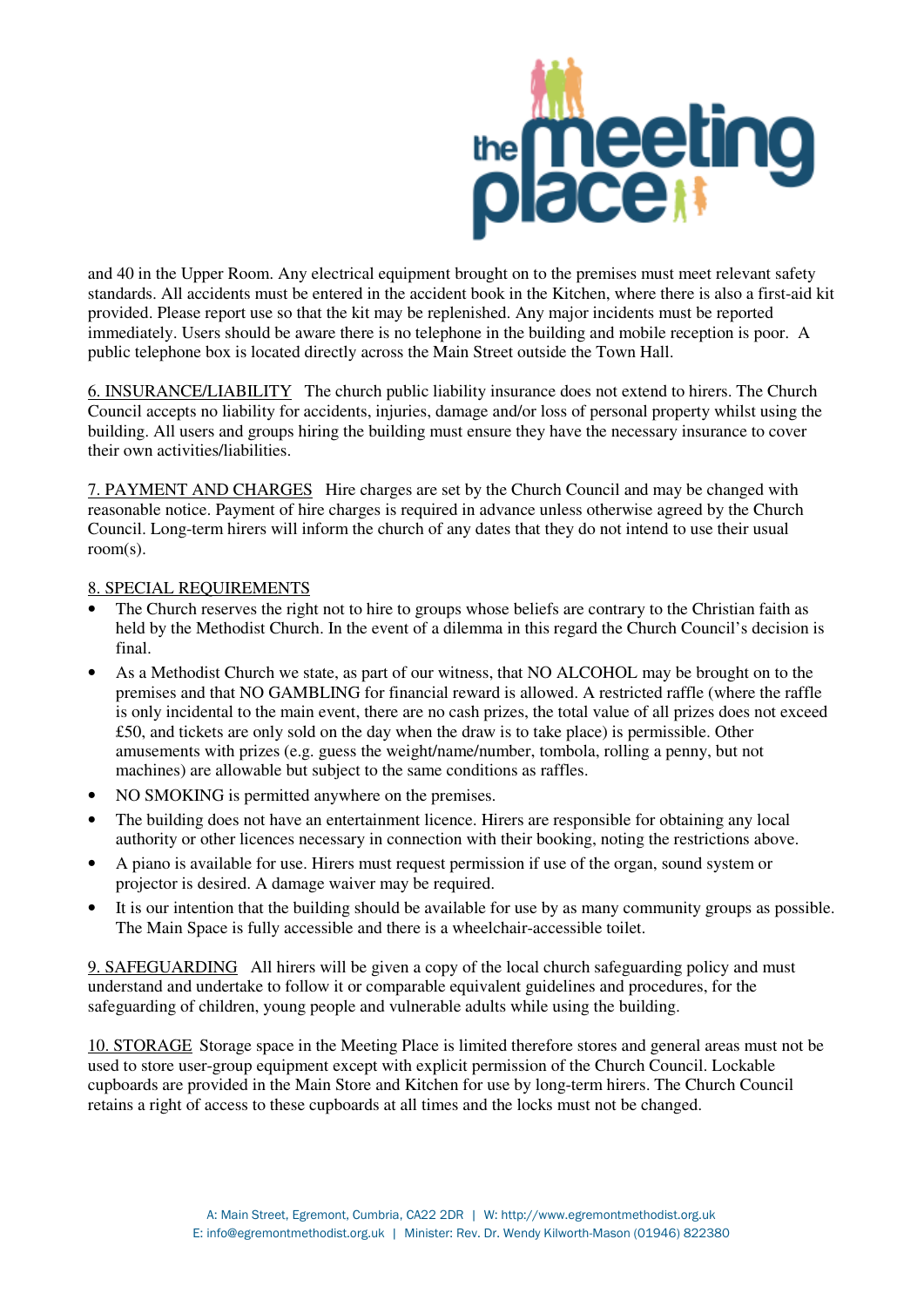

and 40 in the Upper Room. Any electrical equipment brought on to the premises must meet relevant safety standards. All accidents must be entered in the accident book in the Kitchen, where there is also a first-aid kit provided. Please report use so that the kit may be replenished. Any major incidents must be reported immediately. Users should be aware there is no telephone in the building and mobile reception is poor. A public telephone box is located directly across the Main Street outside the Town Hall.

6. INSURANCE/LIABILITY The church public liability insurance does not extend to hirers. The Church Council accepts no liability for accidents, injuries, damage and/or loss of personal property whilst using the building. All users and groups hiring the building must ensure they have the necessary insurance to cover their own activities/liabilities.

7. PAYMENT AND CHARGES Hire charges are set by the Church Council and may be changed with reasonable notice. Payment of hire charges is required in advance unless otherwise agreed by the Church Council. Long-term hirers will inform the church of any dates that they do not intend to use their usual room(s).

## 8. SPECIAL REQUIREMENTS

- The Church reserves the right not to hire to groups whose beliefs are contrary to the Christian faith as held by the Methodist Church. In the event of a dilemma in this regard the Church Council's decision is final.
- As a Methodist Church we state, as part of our witness, that NO ALCOHOL may be brought on to the premises and that NO GAMBLING for financial reward is allowed. A restricted raffle (where the raffle is only incidental to the main event, there are no cash prizes, the total value of all prizes does not exceed £50, and tickets are only sold on the day when the draw is to take place) is permissible. Other amusements with prizes (e.g. guess the weight/name/number, tombola, rolling a penny, but not machines) are allowable but subject to the same conditions as raffles.
- NO SMOKING is permitted anywhere on the premises.
- The building does not have an entertainment licence. Hirers are responsible for obtaining any local authority or other licences necessary in connection with their booking, noting the restrictions above.
- A piano is available for use. Hirers must request permission if use of the organ, sound system or projector is desired. A damage waiver may be required.
- It is our intention that the building should be available for use by as many community groups as possible. The Main Space is fully accessible and there is a wheelchair-accessible toilet.

9. SAFEGUARDING All hirers will be given a copy of the local church safeguarding policy and must understand and undertake to follow it or comparable equivalent guidelines and procedures, for the safeguarding of children, young people and vulnerable adults while using the building.

10. STORAGE Storage space in the Meeting Place is limited therefore stores and general areas must not be used to store user-group equipment except with explicit permission of the Church Council. Lockable cupboards are provided in the Main Store and Kitchen for use by long-term hirers. The Church Council retains a right of access to these cupboards at all times and the locks must not be changed.